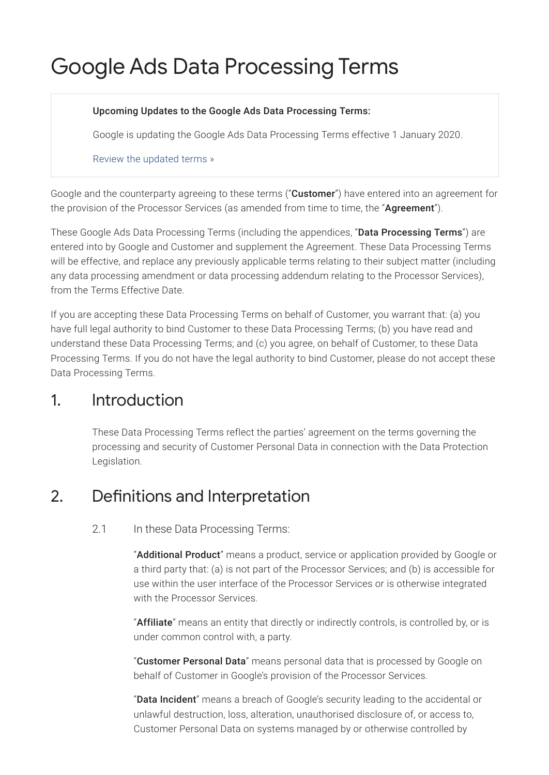# Google Ads Data Processing Terms

#### Upcoming Updates to the Google Ads Data Processing Terms:

Google is updating the Google Ads Data Processing Terms effective 1 January 2020.

Review the [updated](https://privacy.google.com/businesses/ccpatermsupdates) terms »

Google and the counterparty agreeing to these terms ("**Customer**") have entered into an agreement for the provision of the Processor Services (as amended from time to time, the "Agreement").

These Google Ads Data Processing Terms (including the appendices, "Data Processing Terms") are entered into by Google and Customer and supplement the Agreement. These Data Processing Terms will be effective, and replace any previously applicable terms relating to their subject matter (including any data processing amendment or data processing addendum relating to the Processor Services), from the Terms Effective Date.

If you are accepting these Data Processing Terms on behalf of Customer, you warrant that: (a) you have full legal authority to bind Customer to these Data Processing Terms; (b) you have read and understand these Data Processing Terms; and (c) you agree, on behalf of Customer, to these Data Processing Terms. If you do not have the legal authority to bind Customer, please do not accept these Data Processing Terms.

### 1. Introduction

These Data Processing Terms reflect the parties' agreement on the terms governing the processing and security of Customer Personal Data in connection with the Data Protection Legislation.

### 2. Definitions and Interpretation

2.1 In these Data Processing Terms:

"Additional Product" means a product, service or application provided by Google or a third party that: (a) is not part of the Processor Services; and (b) is accessible for use within the user interface of the Processor Services or is otherwise integrated with the Processor Services.

"Affiliate" means an entity that directly or indirectly controls, is controlled by, or is under common control with, a party.

"Customer Personal Data" means personal data that is processed by Google on behalf of Customer in Google's provision of the Processor Services.

"Data Incident" means a breach of Google's security leading to the accidental or unlawful destruction, loss, alteration, unauthorised disclosure of, or access to, Customer Personal Data on systems managed by or otherwise controlled by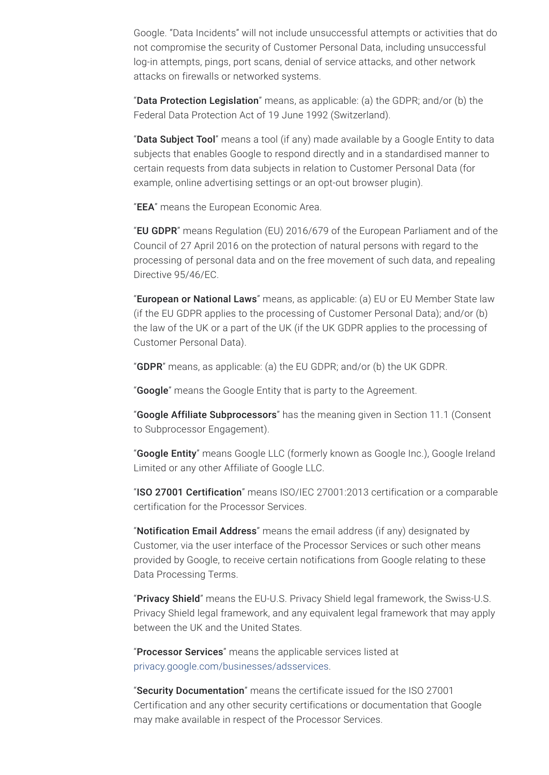Google. "Data Incidents" will not include unsuccessful attempts or activities that do not compromise the security of Customer Personal Data, including unsuccessful log-in attempts, pings, port scans, denial of service attacks, and other network attacks on firewalls or networked systems.

"Data Protection Legislation" means, as applicable: (a) the GDPR; and/or (b) the Federal Data Protection Act of 19 June 1992 (Switzerland).

"Data Subject Tool" means a tool (if any) made available by a Google Entity to data subjects that enables Google to respond directly and in a standardised manner to certain requests from data subjects in relation to Customer Personal Data (for example, online advertising settings or an opt-out browser plugin).

"EEA" means the European Economic Area.

"EU GDPR" means Regulation (EU) 2016/679 of the European Parliament and of the Council of 27 April 2016 on the protection of natural persons with regard to the processing of personal data and on the free movement of such data, and repealing Directive 95/46/EC.

"**European or National Laws**" means, as applicable: (a) EU or EU Member State law (if the EU GDPR applies to the processing of Customer Personal Data); and/or (b) the law of the UK or a part of the UK (if the UK GDPR applies to the processing of Customer Personal Data).

"**GDPR**" means, as applicable: (a) the EU GDPR; and/or (b) the UK GDPR.

"Google" means the Google Entity that is party to the Agreement.

"Google Affiliate Subprocessors" has the meaning given in Section 11.1 (Consent to Subprocessor Engagement).

"Google Entity" means Google LLC (formerly known as Google Inc.), Google Ireland Limited or any other Affiliate of Google LLC.

"ISO 27001 Certification" means ISO/IEC 27001:2013 certification or a comparable certification for the Processor Services.

"Notification Email Address" means the email address (if any) designated by Customer, via the user interface of the Processor Services or such other means provided by Google, to receive certain notifications from Google relating to these Data Processing Terms.

"Privacy Shield" means the EU-U.S. Privacy Shield legal framework, the Swiss-U.S. Privacy Shield legal framework, and any equivalent legal framework that may apply between the UK and the United States.

"Processor Services" means the applicable services listed at [privacy.google.com/businesses/adsservices](https://privacy.google.com/businesses/adsservices/).

"Security Documentation" means the certificate issued for the ISO 27001 Certification and any other security certifications or documentation that Google may make available in respect of the Processor Services.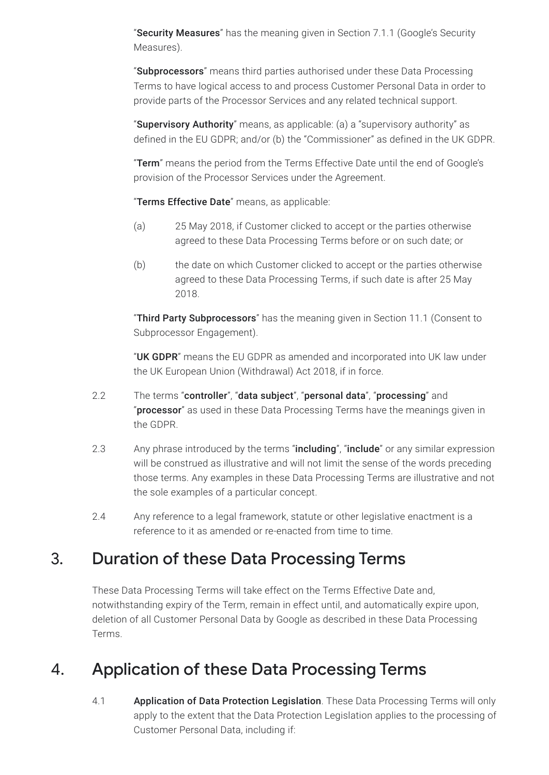"Security Measures" has the meaning given in Section 7.1.1 (Google's Security Measures).

"Subprocessors" means third parties authorised under these Data Processing Terms to have logical access to and process Customer Personal Data in order to provide parts of the Processor Services and any related technical support.

"Supervisory Authority" means, as applicable: (a) a "supervisory authority" as defined in the EU GDPR; and/or (b) the "Commissioner" as defined in the UK GDPR.

"Term" means the period from the Terms Effective Date until the end of Google's provision of the Processor Services under the Agreement.

"Terms Effective Date" means, as applicable:

- (a) 25 May 2018, if Customer clicked to accept or the parties otherwise agreed to these Data Processing Terms before or on such date; or
- (b) the date on which Customer clicked to accept or the parties otherwise agreed to these Data Processing Terms, if such date is after 25 May 2018.

"Third Party Subprocessors" has the meaning given in Section 11.1 (Consent to Subprocessor Engagement).

"UK GDPR" means the EU GDPR as amended and incorporated into UK law under the UK European Union (Withdrawal) Act 2018, if in force.

- 2.2 The terms "controller", "data subject", "personal data", "processing" and "processor" as used in these Data Processing Terms have the meanings given in the GDPR.
- 2.3 Any phrase introduced by the terms "including", "include" or any similar expression will be construed as illustrative and will not limit the sense of the words preceding those terms. Any examples in these Data Processing Terms are illustrative and not the sole examples of a particular concept.
- 2.4 Any reference to a legal framework, statute or other legislative enactment is a reference to it as amended or re-enacted from time to time.

### 3. Duration of these Data Processing Terms

These Data Processing Terms will take effect on the Terms Effective Date and, notwithstanding expiry of the Term, remain in effect until, and automatically expire upon, deletion of all Customer Personal Data by Google as described in these Data Processing Terms.

### 4. Application of these Data Processing Terms

4.1 **Application of Data Protection Legislation**. These Data Processing Terms will only apply to the extent that the Data Protection Legislation applies to the processing of Customer Personal Data, including if: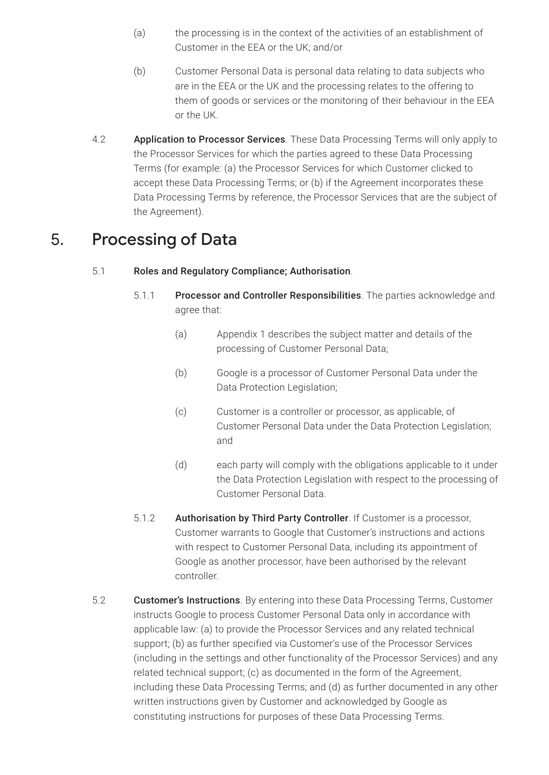- (a) the processing is in the context of the activities of an establishment of Customer in the EEA or the UK; and/or
- (b) Customer Personal Data is personal data relating to data subjects who are in the EEA or the UK and the processing relates to the offering to them of goods or services or the monitoring of their behaviour in the EEA or the UK.
- 4.2 **Application to Processor Services**. These Data Processing Terms will only apply to the Processor Services for which the parties agreed to these Data Processing Terms (for example: (a) the Processor Services for which Customer clicked to accept these Data Processing Terms; or (b) if the Agreement incorporates these Data Processing Terms by reference, the Processor Services that are the subject of the Agreement).

### 5. Processing of Data

- 5.1 Roles and Regulatory Compliance; Authorisation.
	- 5.1.1 Processor and Controller Responsibilities. The parties acknowledge and agree that:
		- (a) Appendix 1 describes the subject matter and details of the processing of Customer Personal Data;
		- (b) Google is a processor of Customer Personal Data under the Data Protection Legislation;
		- (c) Customer is a controller or processor, as applicable, of Customer Personal Data under the Data Protection Legislation; and
		- (d) each party will comply with the obligations applicable to it under the Data Protection Legislation with respect to the processing of Customer Personal Data.
	- 5.1.2 Authorisation by Third Party Controller. If Customer is a processor, Customer warrants to Google that Customer's instructions and actions with respect to Customer Personal Data, including its appointment of Google as another processor, have been authorised by the relevant controller.
- 5.2 Customer's Instructions. By entering into these Data Processing Terms, Customer instructs Google to process Customer Personal Data only in accordance with applicable law: (a) to provide the Processor Services and any related technical support; (b) as further specified via Customer's use of the Processor Services (including in the settings and other functionality of the Processor Services) and any related technical support; (c) as documented in the form of the Agreement, including these Data Processing Terms; and (d) as further documented in any other written instructions given by Customer and acknowledged by Google as constituting instructions for purposes of these Data Processing Terms.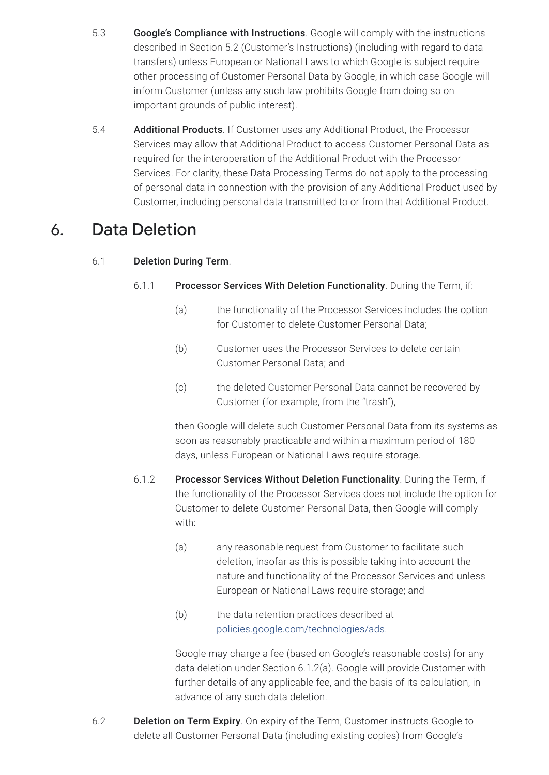- 5.3 Google's Compliance with Instructions. Google will comply with the instructions described in Section 5.2 (Customer's Instructions) (including with regard to data transfers) unless European or National Laws to which Google is subject require other processing of Customer Personal Data by Google, in which case Google will inform Customer (unless any such law prohibits Google from doing so on important grounds of public interest).
- 5.4 Additional Products. If Customer uses any Additional Product, the Processor Services may allow that Additional Product to access Customer Personal Data as required for the interoperation of the Additional Product with the Processor Services. For clarity, these Data Processing Terms do not apply to the processing of personal data in connection with the provision of any Additional Product used by Customer, including personal data transmitted to or from that Additional Product.

### 6. Data Deletion

#### 6.1 Deletion During Term.

#### 6.1.1 Processor Services With Deletion Functionality. During the Term, if:

- (a) the functionality of the Processor Services includes the option for Customer to delete Customer Personal Data;
- (b) Customer uses the Processor Services to delete certain Customer Personal Data; and
- (c) the deleted Customer Personal Data cannot be recovered by Customer (for example, from the "trash"),

then Google will delete such Customer Personal Data from its systems as soon as reasonably practicable and within a maximum period of 180 days, unless European or National Laws require storage.

- 6.1.2 Processor Services Without Deletion Functionality. During the Term, if the functionality of the Processor Services does not include the option for Customer to delete Customer Personal Data, then Google will comply with:
	- (a) any reasonable request from Customer to facilitate such deletion, insofar as this is possible taking into account the nature and functionality of the Processor Services and unless European or National Laws require storage; and
	- (b) the data retention practices described at [policies.google.com/technologies/ads](https://policies.google.com/technologies/ads).

Google may charge a fee (based on Google's reasonable costs) for any data deletion under Section 6.1.2(a). Google will provide Customer with further details of any applicable fee, and the basis of its calculation, in advance of any such data deletion.

6.2 **Deletion on Term Expiry**. On expiry of the Term, Customer instructs Google to delete all Customer Personal Data (including existing copies) from Google's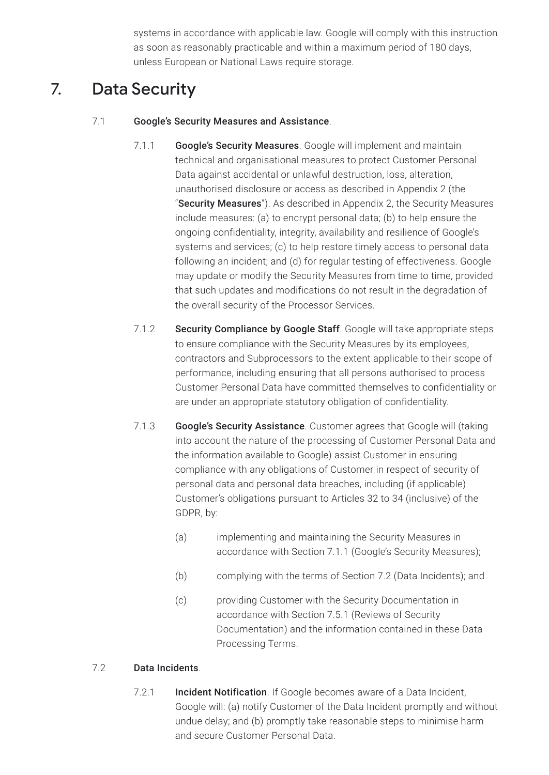systems in accordance with applicable law. Google will comply with this instruction as soon as reasonably practicable and within a maximum period of 180 days, unless European or National Laws require storage.

## 7. Data Security

#### 7.1 Google's Security Measures and Assistance.

- 7.1.1 Google's Security Measures. Google will implement and maintain technical and organisational measures to protect Customer Personal Data against accidental or unlawful destruction, loss, alteration, unauthorised disclosure or access as described in Appendix 2 (the "Security Measures"). As described in Appendix 2, the Security Measures include measures: (a) to encrypt personal data; (b) to help ensure the ongoing confidentiality, integrity, availability and resilience of Google's systems and services; (c) to help restore timely access to personal data following an incident; and (d) for regular testing of effectiveness. Google may update or modify the Security Measures from time to time, provided that such updates and modifications do not result in the degradation of the overall security of the Processor Services.
- 7.1.2 Security Compliance by Google Staff. Google will take appropriate steps to ensure compliance with the Security Measures by its employees, contractors and Subprocessors to the extent applicable to their scope of performance, including ensuring that all persons authorised to process Customer Personal Data have committed themselves to confidentiality or are under an appropriate statutory obligation of confidentiality.
- 7.1.3 Google's Security Assistance. Customer agrees that Google will (taking into account the nature of the processing of Customer Personal Data and the information available to Google) assist Customer in ensuring compliance with any obligations of Customer in respect of security of personal data and personal data breaches, including (if applicable) Customer's obligations pursuant to Articles 32 to 34 (inclusive) of the GDPR, by:
	- (a) implementing and maintaining the Security Measures in accordance with Section 7.1.1 (Google's Security Measures);
	- (b) complying with the terms of Section 7.2 (Data Incidents); and
	- (c) providing Customer with the Security Documentation in accordance with Section 7.5.1 (Reviews of Security Documentation) and the information contained in these Data Processing Terms.

#### 7.2 Data Incidents.

7.2.1 **Incident Notification**. If Google becomes aware of a Data Incident, Google will: (a) notify Customer of the Data Incident promptly and without undue delay; and (b) promptly take reasonable steps to minimise harm and secure Customer Personal Data.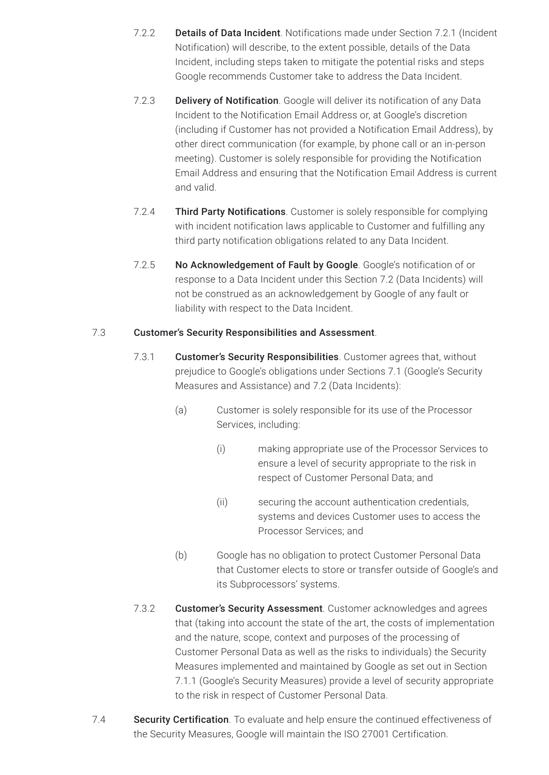- 7.2.2 **Details of Data Incident**. Notifications made under Section 7.2.1 (Incident Notification) will describe, to the extent possible, details of the Data Incident, including steps taken to mitigate the potential risks and steps Google recommends Customer take to address the Data Incident.
- 7.2.3 **Delivery of Notification**. Google will deliver its notification of any Data Incident to the Notification Email Address or, at Google's discretion (including if Customer has not provided a Notification Email Address), by other direct communication (for example, by phone call or an in-person meeting). Customer is solely responsible for providing the Notification Email Address and ensuring that the Notification Email Address is current and valid.
- 7.2.4 Third Party Notifications. Customer is solely responsible for complying with incident notification laws applicable to Customer and fulfilling any third party notification obligations related to any Data Incident.
- 7.2.5 No Acknowledgement of Fault by Google. Google's notification of or response to a Data Incident under this Section 7.2 (Data Incidents) will not be construed as an acknowledgement by Google of any fault or liability with respect to the Data Incident.

#### 7.3 Customer's Security Responsibilities and Assessment.

- 7.3.1 Customer's Security Responsibilities. Customer agrees that, without prejudice to Google's obligations under Sections 7.1 (Google's Security Measures and Assistance) and 7.2 (Data Incidents):
	- (a) Customer is solely responsible for its use of the Processor Services, including:
		- (i) making appropriate use of the Processor Services to ensure a level of security appropriate to the risk in respect of Customer Personal Data; and
		- (ii) securing the account authentication credentials, systems and devices Customer uses to access the Processor Services; and
	- (b) Google has no obligation to protect Customer Personal Data that Customer elects to store or transfer outside of Google's and its Subprocessors' systems.
- 7.3.2 Customer's Security Assessment. Customer acknowledges and agrees that (taking into account the state of the art, the costs of implementation and the nature, scope, context and purposes of the processing of Customer Personal Data as well as the risks to individuals) the Security Measures implemented and maintained by Google as set out in Section 7.1.1 (Google's Security Measures) provide a level of security appropriate to the risk in respect of Customer Personal Data.
- 7.4 Security Certification. To evaluate and help ensure the continued effectiveness of the Security Measures, Google will maintain the ISO 27001 Certification.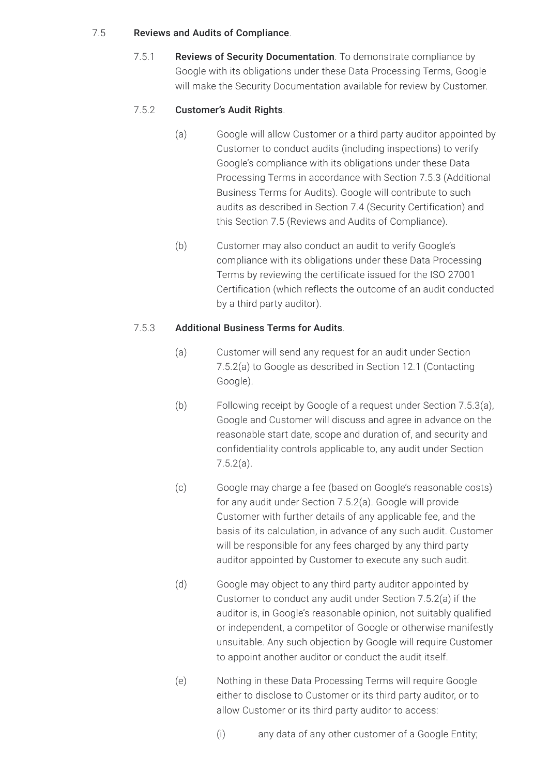#### 7.5 Reviews and Audits of Compliance.

7.5.1 Reviews of Security Documentation. To demonstrate compliance by Google with its obligations under these Data Processing Terms, Google will make the Security Documentation available for review by Customer.

#### 7.5.2 Customer's Audit Rights.

- (a) Google will allow Customer or a third party auditor appointed by Customer to conduct audits (including inspections) to verify Google's compliance with its obligations under these Data Processing Terms in accordance with Section 7.5.3 (Additional Business Terms for Audits). Google will contribute to such audits as described in Section 7.4 (Security Certification) and this Section 7.5 (Reviews and Audits of Compliance).
- (b) Customer may also conduct an audit to verify Google's compliance with its obligations under these Data Processing Terms by reviewing the certificate issued for the ISO 27001 Certification (which reflects the outcome of an audit conducted by a third party auditor).

#### 7.5.3 Additional Business Terms for Audits.

- (a) Customer will send any request for an audit under Section 7.5.2(a) to Google as described in Section 12.1 (Contacting Google).
- (b) Following receipt by Google of a request under Section 7.5.3(a), Google and Customer will discuss and agree in advance on the reasonable start date, scope and duration of, and security and confidentiality controls applicable to, any audit under Section 7.5.2(a).
- (c) Google may charge a fee (based on Google's reasonable costs) for any audit under Section 7.5.2(a). Google will provide Customer with further details of any applicable fee, and the basis of its calculation, in advance of any such audit. Customer will be responsible for any fees charged by any third party auditor appointed by Customer to execute any such audit.
- (d) Google may object to any third party auditor appointed by Customer to conduct any audit under Section 7.5.2(a) if the auditor is, in Google's reasonable opinion, not suitably qualified or independent, a competitor of Google or otherwise manifestly unsuitable. Any such objection by Google will require Customer to appoint another auditor or conduct the audit itself.
- (e) Nothing in these Data Processing Terms will require Google either to disclose to Customer or its third party auditor, or to allow Customer or its third party auditor to access:
	- (i) any data of any other customer of a Google Entity;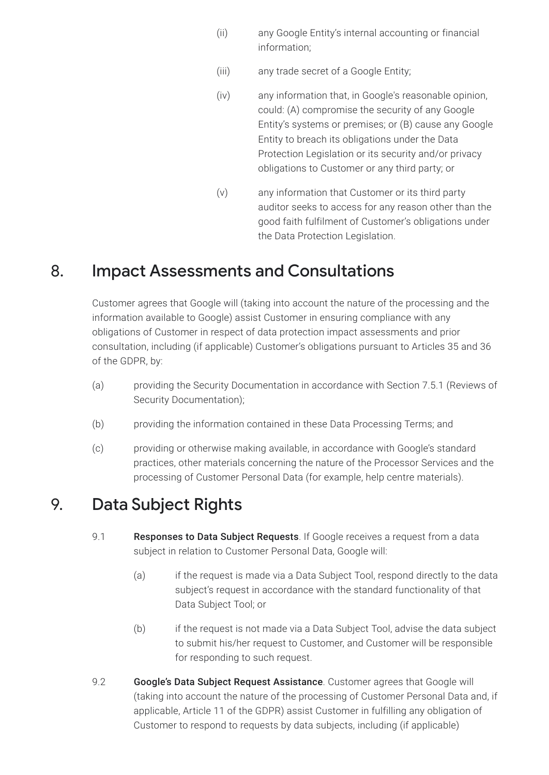- (ii) any Google Entity's internal accounting or financial information;
- (iii) any trade secret of a Google Entity;
- (iv) any information that, in Google's reasonable opinion, could: (A) compromise the security of any Google Entity's systems or premises; or (B) cause any Google Entity to breach its obligations under the Data Protection Legislation or its security and/or privacy obligations to Customer or any third party; or
- (v) any information that Customer or its third party auditor seeks to access for any reason other than the good faith fulfilment of Customer's obligations under the Data Protection Legislation.

### 8. Impact Assessments and Consultations

Customer agrees that Google will (taking into account the nature of the processing and the information available to Google) assist Customer in ensuring compliance with any obligations of Customer in respect of data protection impact assessments and prior consultation, including (if applicable) Customer's obligations pursuant to Articles 35 and 36 of the GDPR, by:

- (a) providing the Security Documentation in accordance with Section 7.5.1 (Reviews of Security Documentation);
- (b) providing the information contained in these Data Processing Terms; and
- (c) providing or otherwise making available, in accordance with Google's standard practices, other materials concerning the nature of the Processor Services and the processing of Customer Personal Data (for example, help centre materials).

### 9. Data Subject Rights

- 9.1 **Responses to Data Subject Requests**. If Google receives a request from a data subject in relation to Customer Personal Data, Google will:
	- (a) if the request is made via a Data Subject Tool, respond directly to the data subject's request in accordance with the standard functionality of that Data Subject Tool; or
	- (b) if the request is not made via a Data Subject Tool, advise the data subject to submit his/her request to Customer, and Customer will be responsible for responding to such request.
- 9.2 **Google's Data Subject Request Assistance**. Customer agrees that Google will (taking into account the nature of the processing of Customer Personal Data and, if applicable, Article 11 of the GDPR) assist Customer in fulfilling any obligation of Customer to respond to requests by data subjects, including (if applicable)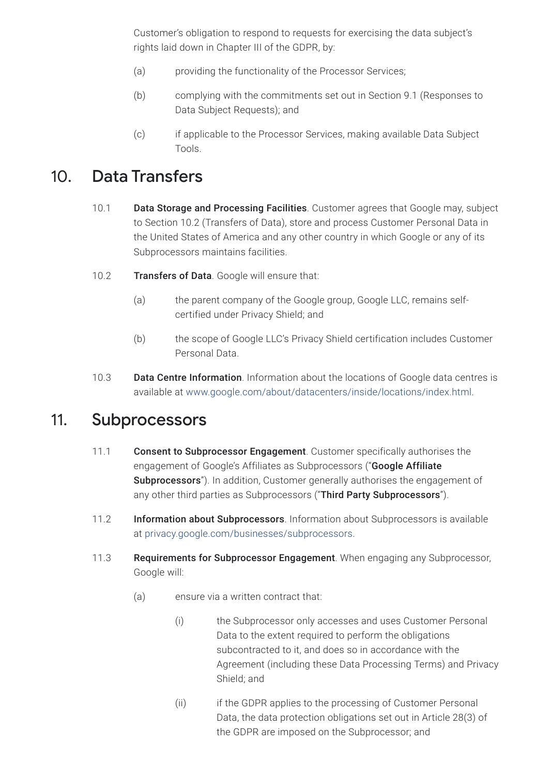Customer's obligation to respond to requests for exercising the data subject's rights laid down in Chapter III of the GDPR, by:

- (a) providing the functionality of the Processor Services;
- (b) complying with the commitments set out in Section 9.1 (Responses to Data Subject Requests); and
- (c) if applicable to the Processor Services, making available Data Subject Tools.

### 10. Data Transfers

- 10.1 Data Storage and Processing Facilities. Customer agrees that Google may, subject to Section 10.2 (Transfers of Data), store and process Customer Personal Data in the United States of America and any other country in which Google or any of its Subprocessors maintains facilities.
- 10.2 **Transfers of Data**. Google will ensure that:
	- (a) the parent company of the Google group, Google LLC, remains selfcertified under Privacy Shield; and
	- (b) the scope of Google LLC's Privacy Shield certification includes Customer Personal Data.
- 10.3 Data Centre Information. Information about the locations of Google data centres is available at [www.google.com/about/datacenters/inside/locations/index.html.](https://www.google.com/about/datacenters/inside/locations/index.html)

#### 11. Subprocessors

- 11.1 Consent to Subprocessor Engagement. Customer specifically authorises the engagement of Google's Affiliates as Subprocessors ("Google Affiliate Subprocessors"). In addition, Customer generally authorises the engagement of any other third parties as Subprocessors ("Third Party Subprocessors").
- 11.2 Information about Subprocessors. Information about Subprocessors is available at [privacy.google.com/businesses/subprocessors.](https://privacy.google.com/businesses/subprocessors/)
- 11.3 Requirements for Subprocessor Engagement. When engaging any Subprocessor, Google will:
	- (a) ensure via a written contract that:
		- (i) the Subprocessor only accesses and uses Customer Personal Data to the extent required to perform the obligations subcontracted to it, and does so in accordance with the Agreement (including these Data Processing Terms) and Privacy Shield; and
		- (ii) if the GDPR applies to the processing of Customer Personal Data, the data protection obligations set out in Article 28(3) of the GDPR are imposed on the Subprocessor; and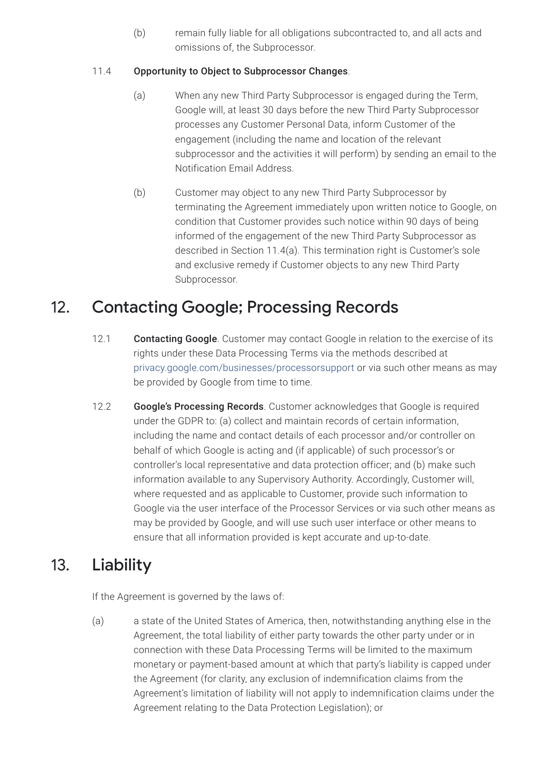(b) remain fully liable for all obligations subcontracted to, and all acts and omissions of, the Subprocessor.

#### 11.4 Opportunity to Object to Subprocessor Changes.

- (a) When any new Third Party Subprocessor is engaged during the Term, Google will, at least 30 days before the new Third Party Subprocessor processes any Customer Personal Data, inform Customer of the engagement (including the name and location of the relevant subprocessor and the activities it will perform) by sending an email to the Notification Email Address.
- (b) Customer may object to any new Third Party Subprocessor by terminating the Agreement immediately upon written notice to Google, on condition that Customer provides such notice within 90 days of being informed of the engagement of the new Third Party Subprocessor as described in Section 11.4(a). This termination right is Customer's sole and exclusive remedy if Customer objects to any new Third Party Subprocessor.

### 12. Contacting Google; Processing Records

- 12.1 Contacting Google. Customer may contact Google in relation to the exercise of its rights under these Data Processing Terms via the methods described at [privacy.google.com/businesses/processorsupport](https://privacy.google.com/businesses/processorsupport/) or via such other means as may be provided by Google from time to time.
- 12.2 Google's Processing Records. Customer acknowledges that Google is required under the GDPR to: (a) collect and maintain records of certain information, including the name and contact details of each processor and/or controller on behalf of which Google is acting and (if applicable) of such processor's or controller's local representative and data protection officer; and (b) make such information available to any Supervisory Authority. Accordingly, Customer will, where requested and as applicable to Customer, provide such information to Google via the user interface of the Processor Services or via such other means as may be provided by Google, and will use such user interface or other means to ensure that all information provided is kept accurate and up-to-date.

### 13. Liability

If the Agreement is governed by the laws of:

(a) a state of the United States of America, then, notwithstanding anything else in the Agreement, the total liability of either party towards the other party under or in connection with these Data Processing Terms will be limited to the maximum monetary or payment-based amount at which that party's liability is capped under the Agreement (for clarity, any exclusion of indemnification claims from the Agreement's limitation of liability will not apply to indemnification claims under the Agreement relating to the Data Protection Legislation); or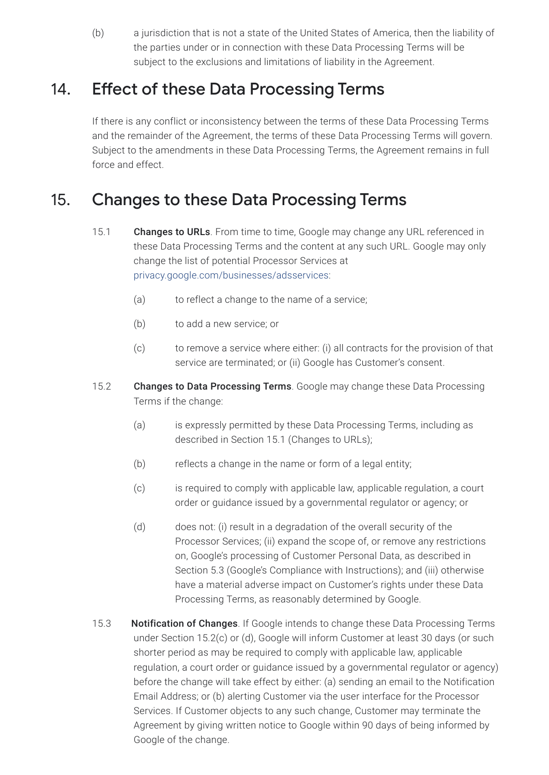(b) a jurisdiction that is not a state of the United States of America, then the liability of the parties under or in connection with these Data Processing Terms will be subject to the exclusions and limitations of liability in the Agreement.

### 14. Effect of these Data Processing Terms

If there is any conflict or inconsistency between the terms of these Data Processing Terms and the remainder of the Agreement, the terms of these Data Processing Terms will govern. Subject to the amendments in these Data Processing Terms, the Agreement remains in full force and effect.

### 15. Changes to these Data Processing Terms

- 15.1 Changes to URLs. From time to time, Google may change any URL referenced in these Data Processing Terms and the content at any such URL. Google may only change the list of potential Processor Services at [privacy.google.com/businesses/adsservices](https://privacy.google.com/businesses/adsservices/):
	- (a) to reflect a change to the name of a service;
	- (b) to add a new service; or
	- (c) to remove a service where either: (i) all contracts for the provision of that service are terminated; or (ii) Google has Customer's consent.
- 15.2 Changes to Data Processing Terms. Google may change these Data Processing Terms if the change:
	- (a) is expressly permitted by these Data Processing Terms, including as described in Section 15.1 (Changes to URLs);
	- (b) reflects a change in the name or form of a legal entity;
	- (c) is required to comply with applicable law, applicable regulation, a court order or guidance issued by a governmental regulator or agency; or
	- (d) does not: (i) result in a degradation of the overall security of the Processor Services; (ii) expand the scope of, or remove any restrictions on, Google's processing of Customer Personal Data, as described in Section 5.3 (Google's Compliance with Instructions); and (iii) otherwise have a material adverse impact on Customer's rights under these Data Processing Terms, as reasonably determined by Google.
- 15.3 Notification of Changes. If Google intends to change these Data Processing Terms under Section 15.2(c) or (d), Google will inform Customer at least 30 days (or such shorter period as may be required to comply with applicable law, applicable regulation, a court order or guidance issued by a governmental regulator or agency) before the change will take effect by either: (a) sending an email to the Notification Email Address; or (b) alerting Customer via the user interface for the Processor Services. If Customer objects to any such change, Customer may terminate the Agreement by giving written notice to Google within 90 days of being informed by Google of the change.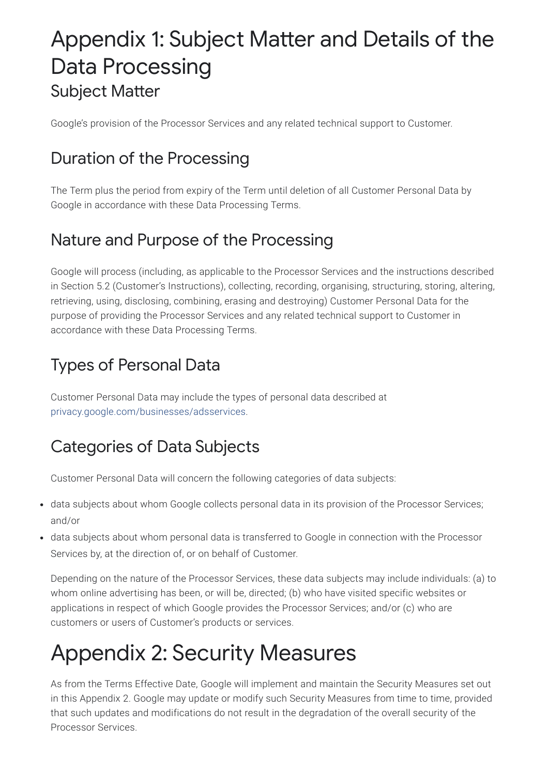# Appendix 1: Subject Matter and Details of the Data Processing Subject Matter

Google's provision of the Processor Services and any related technical support to Customer.

## Duration of the Processing

The Term plus the period from expiry of the Term until deletion of all Customer Personal Data by Google in accordance with these Data Processing Terms.

## Nature and Purpose of the Processing

Google will process (including, as applicable to the Processor Services and the instructions described in Section 5.2 (Customer's Instructions), collecting, recording, organising, structuring, storing, altering, retrieving, using, disclosing, combining, erasing and destroying) Customer Personal Data for the purpose of providing the Processor Services and any related technical support to Customer in accordance with these Data Processing Terms.

## Types of Personal Data

Customer Personal Data may include the types of personal data described at [privacy.google.com/businesses/adsservices](https://privacy.google.com/businesses/adsservices/).

## Categories of Data Subjects

Customer Personal Data will concern the following categories of data subjects:

- data subjects about whom Google collects personal data in its provision of the Processor Services; and/or
- data subjects about whom personal data is transferred to Google in connection with the Processor Services by, at the direction of, or on behalf of Customer.

Depending on the nature of the Processor Services, these data subjects may include individuals: (a) to whom online advertising has been, or will be, directed; (b) who have visited specific websites or applications in respect of which Google provides the Processor Services; and/or (c) who are customers or users of Customer's products or services.

# Appendix 2: Security Measures

As from the Terms Effective Date, Google will implement and maintain the Security Measures set out in this Appendix 2. Google may update or modify such Security Measures from time to time, provided that such updates and modifications do not result in the degradation of the overall security of the Processor Services.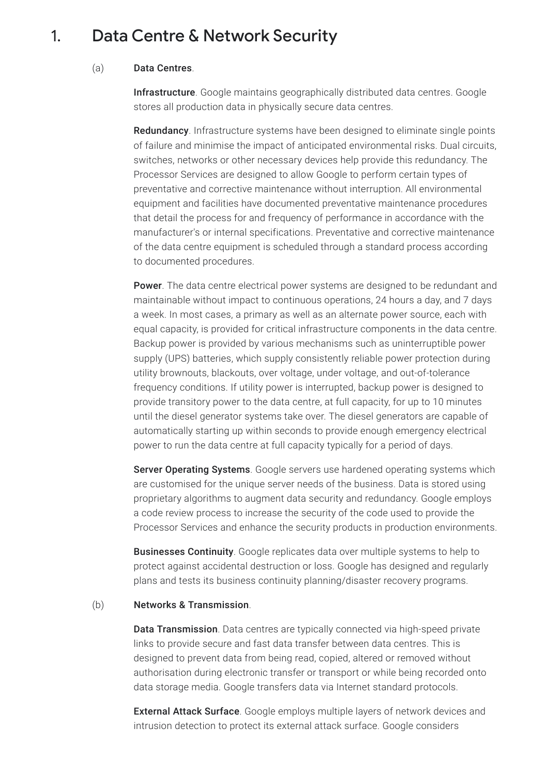#### 1. Data Centre & Network Security

#### (a) Data Centres.

Infrastructure. Google maintains geographically distributed data centres. Google stores all production data in physically secure data centres.

Redundancy. Infrastructure systems have been designed to eliminate single points of failure and minimise the impact of anticipated environmental risks. Dual circuits, switches, networks or other necessary devices help provide this redundancy. The Processor Services are designed to allow Google to perform certain types of preventative and corrective maintenance without interruption. All environmental equipment and facilities have documented preventative maintenance procedures that detail the process for and frequency of performance in accordance with the manufacturer's or internal specifications. Preventative and corrective maintenance of the data centre equipment is scheduled through a standard process according to documented procedures.

**Power**. The data centre electrical power systems are designed to be redundant and maintainable without impact to continuous operations, 24 hours a day, and 7 days a week. In most cases, a primary as well as an alternate power source, each with equal capacity, is provided for critical infrastructure components in the data centre. Backup power is provided by various mechanisms such as uninterruptible power supply (UPS) batteries, which supply consistently reliable power protection during utility brownouts, blackouts, over voltage, under voltage, and out-of-tolerance frequency conditions. If utility power is interrupted, backup power is designed to provide transitory power to the data centre, at full capacity, for up to 10 minutes until the diesel generator systems take over. The diesel generators are capable of automatically starting up within seconds to provide enough emergency electrical power to run the data centre at full capacity typically for a period of days.

**Server Operating Systems**. Google servers use hardened operating systems which are customised for the unique server needs of the business. Data is stored using proprietary algorithms to augment data security and redundancy. Google employs a code review process to increase the security of the code used to provide the Processor Services and enhance the security products in production environments.

Businesses Continuity. Google replicates data over multiple systems to help to protect against accidental destruction or loss. Google has designed and regularly plans and tests its business continuity planning/disaster recovery programs.

#### (b) Networks & Transmission.

Data Transmission. Data centres are typically connected via high-speed private links to provide secure and fast data transfer between data centres. This is designed to prevent data from being read, copied, altered or removed without authorisation during electronic transfer or transport or while being recorded onto data storage media. Google transfers data via Internet standard protocols.

**External Attack Surface**. Google employs multiple layers of network devices and intrusion detection to protect its external attack surface. Google considers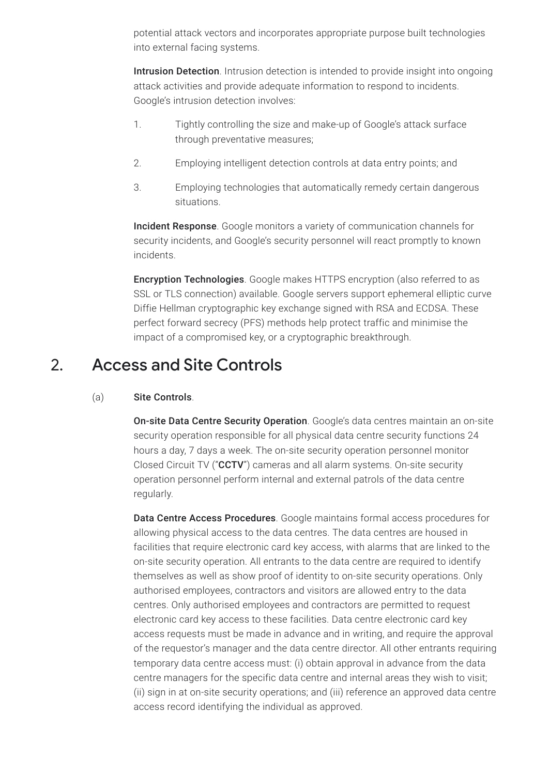potential attack vectors and incorporates appropriate purpose built technologies into external facing systems.

Intrusion Detection. Intrusion detection is intended to provide insight into ongoing attack activities and provide adequate information to respond to incidents. Google's intrusion detection involves:

- 1. Tightly controlling the size and make-up of Google's attack surface through preventative measures;
- 2. Employing intelligent detection controls at data entry points; and
- 3. Employing technologies that automatically remedy certain dangerous situations.

Incident Response. Google monitors a variety of communication channels for security incidents, and Google's security personnel will react promptly to known incidents.

Encryption Technologies. Google makes HTTPS encryption (also referred to as SSL or TLS connection) available. Google servers support ephemeral elliptic curve Diffie Hellman cryptographic key exchange signed with RSA and ECDSA. These perfect forward secrecy (PFS) methods help protect traffic and minimise the impact of a compromised key, or a cryptographic breakthrough.

### 2. Access and Site Controls

#### (a) Site Controls.

On-site Data Centre Security Operation. Google's data centres maintain an on-site security operation responsible for all physical data centre security functions 24 hours a day, 7 days a week. The on-site security operation personnel monitor Closed Circuit TV ("CCTV") cameras and all alarm systems. On-site security operation personnel perform internal and external patrols of the data centre regularly.

Data Centre Access Procedures. Google maintains formal access procedures for allowing physical access to the data centres. The data centres are housed in facilities that require electronic card key access, with alarms that are linked to the on-site security operation. All entrants to the data centre are required to identify themselves as well as show proof of identity to on-site security operations. Only authorised employees, contractors and visitors are allowed entry to the data centres. Only authorised employees and contractors are permitted to request electronic card key access to these facilities. Data centre electronic card key access requests must be made in advance and in writing, and require the approval of the requestor's manager and the data centre director. All other entrants requiring temporary data centre access must: (i) obtain approval in advance from the data centre managers for the specific data centre and internal areas they wish to visit; (ii) sign in at on-site security operations; and (iii) reference an approved data centre access record identifying the individual as approved.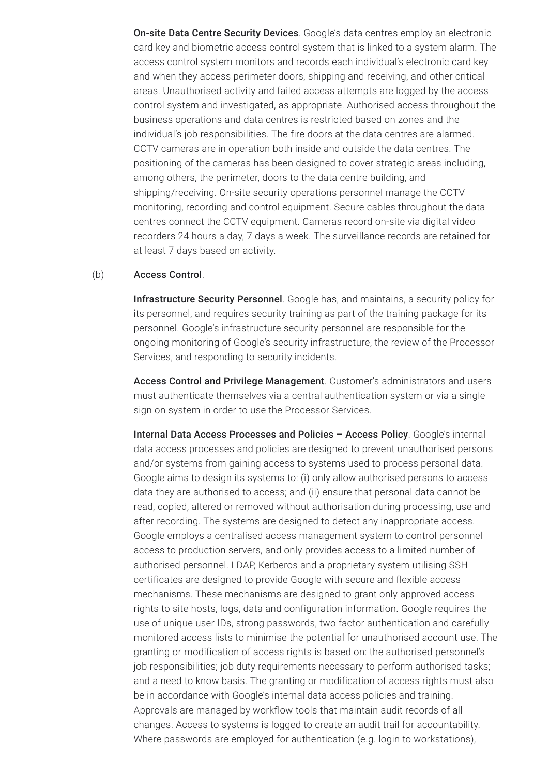On-site Data Centre Security Devices. Google's data centres employ an electronic card key and biometric access control system that is linked to a system alarm. The access control system monitors and records each individual's electronic card key and when they access perimeter doors, shipping and receiving, and other critical areas. Unauthorised activity and failed access attempts are logged by the access control system and investigated, as appropriate. Authorised access throughout the business operations and data centres is restricted based on zones and the individual's job responsibilities. The fire doors at the data centres are alarmed. CCTV cameras are in operation both inside and outside the data centres. The positioning of the cameras has been designed to cover strategic areas including, among others, the perimeter, doors to the data centre building, and shipping/receiving. On-site security operations personnel manage the CCTV monitoring, recording and control equipment. Secure cables throughout the data centres connect the CCTV equipment. Cameras record on-site via digital video recorders 24 hours a day, 7 days a week. The surveillance records are retained for at least 7 days based on activity.

#### (b) Access Control.

Infrastructure Security Personnel. Google has, and maintains, a security policy for its personnel, and requires security training as part of the training package for its personnel. Google's infrastructure security personnel are responsible for the ongoing monitoring of Google's security infrastructure, the review of the Processor Services, and responding to security incidents.

Access Control and Privilege Management. Customer's administrators and users must authenticate themselves via a central authentication system or via a single sign on system in order to use the Processor Services.

Internal Data Access Processes and Policies - Access Policy. Google's internal data access processes and policies are designed to prevent unauthorised persons and/or systems from gaining access to systems used to process personal data. Google aims to design its systems to: (i) only allow authorised persons to access data they are authorised to access; and (ii) ensure that personal data cannot be read, copied, altered or removed without authorisation during processing, use and after recording. The systems are designed to detect any inappropriate access. Google employs a centralised access management system to control personnel access to production servers, and only provides access to a limited number of authorised personnel. LDAP, Kerberos and a proprietary system utilising SSH certificates are designed to provide Google with secure and flexible access mechanisms. These mechanisms are designed to grant only approved access rights to site hosts, logs, data and configuration information. Google requires the use of unique user IDs, strong passwords, two factor authentication and carefully monitored access lists to minimise the potential for unauthorised account use. The granting or modification of access rights is based on: the authorised personnel's job responsibilities; job duty requirements necessary to perform authorised tasks; and a need to know basis. The granting or modification of access rights must also be in accordance with Google's internal data access policies and training. Approvals are managed by workflow tools that maintain audit records of all changes. Access to systems is logged to create an audit trail for accountability. Where passwords are employed for authentication (e.g. login to workstations),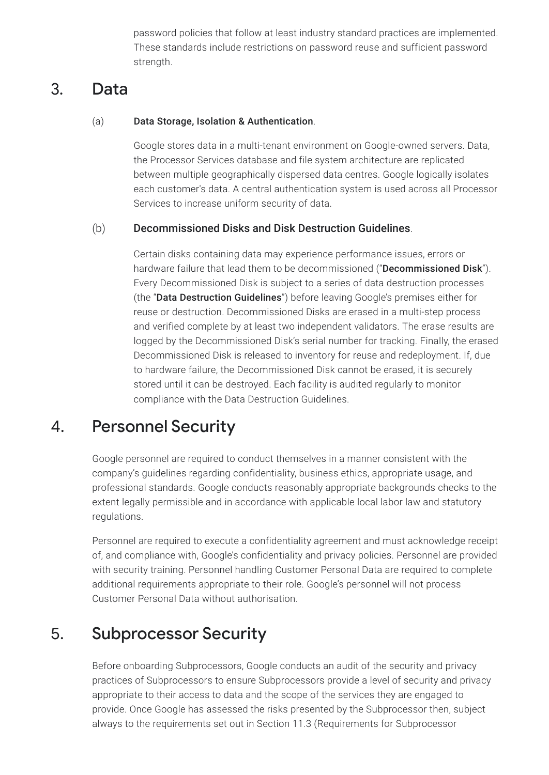password policies that follow at least industry standard practices are implemented. These standards include restrictions on password reuse and sufficient password strength.

### 3. Data

#### (a) Data Storage, Isolation & Authentication.

Google stores data in a multi-tenant environment on Google-owned servers. Data, the Processor Services database and file system architecture are replicated between multiple geographically dispersed data centres. Google logically isolates each customer's data. A central authentication system is used across all Processor Services to increase uniform security of data.

#### (b) Decommissioned Disks and Disk Destruction Guidelines.

Certain disks containing data may experience performance issues, errors or hardware failure that lead them to be decommissioned ("Decommissioned Disk"). Every Decommissioned Disk is subject to a series of data destruction processes (the "Data Destruction Guidelines") before leaving Google's premises either for reuse or destruction. Decommissioned Disks are erased in a multi-step process and verified complete by at least two independent validators. The erase results are logged by the Decommissioned Disk's serial number for tracking. Finally, the erased Decommissioned Disk is released to inventory for reuse and redeployment. If, due to hardware failure, the Decommissioned Disk cannot be erased, it is securely stored until it can be destroyed. Each facility is audited regularly to monitor compliance with the Data Destruction Guidelines.

### 4. Personnel Security

Google personnel are required to conduct themselves in a manner consistent with the company's guidelines regarding confidentiality, business ethics, appropriate usage, and professional standards. Google conducts reasonably appropriate backgrounds checks to the extent legally permissible and in accordance with applicable local labor law and statutory regulations.

Personnel are required to execute a confidentiality agreement and must acknowledge receipt of, and compliance with, Google's confidentiality and privacy policies. Personnel are provided with security training. Personnel handling Customer Personal Data are required to complete additional requirements appropriate to their role. Google's personnel will not process Customer Personal Data without authorisation.

### 5. Subprocessor Security

Before onboarding Subprocessors, Google conducts an audit of the security and privacy practices of Subprocessors to ensure Subprocessors provide a level of security and privacy appropriate to their access to data and the scope of the services they are engaged to provide. Once Google has assessed the risks presented by the Subprocessor then, subject always to the requirements set out in Section 11.3 (Requirements for Subprocessor